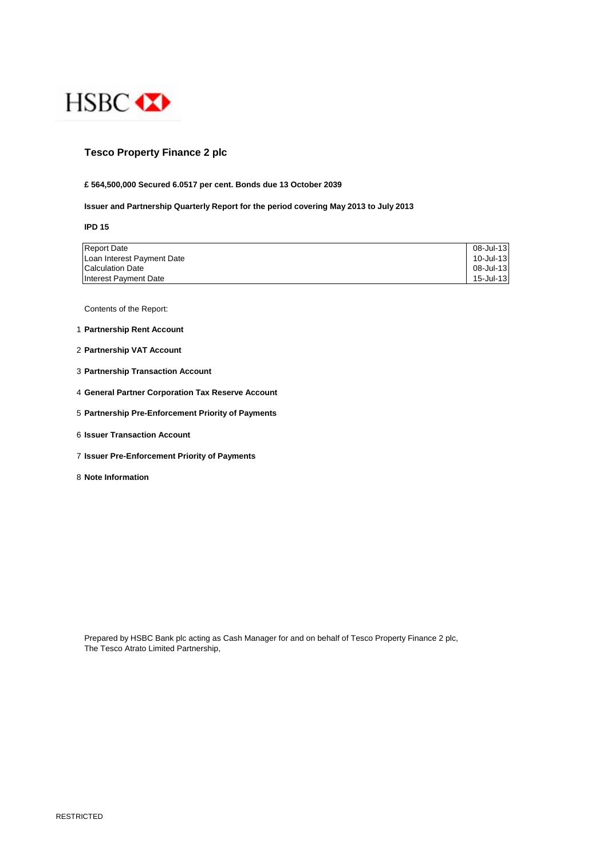

## **Tesco Property Finance 2 plc**

### **£ 564,500,000 Secured 6.0517 per cent. Bonds due 13 October 2039**

### **Issuer and Partnership Quarterly Report for the period covering May 2013 to July 2013**

**IPD 15**

| <b>Report Date</b>         | 08-Jul-13 |
|----------------------------|-----------|
| Loan Interest Payment Date | 10-Jul-13 |
| <b>Calculation Date</b>    | 08-Jul-13 |
| Interest Payment Date      | 15-Jul-13 |

Contents of the Report:

- 1 **Partnership Rent Account**
- 2 **Partnership VAT Account**
- 3 **Partnership Transaction Account**
- 4 **General Partner Corporation Tax Reserve Account**
- 5 **Partnership Pre-Enforcement Priority of Payments**
- 6 **Issuer Transaction Account**
- 7 **Issuer Pre-Enforcement Priority of Payments**
- 8 **Note Information**

Prepared by HSBC Bank plc acting as Cash Manager for and on behalf of Tesco Property Finance 2 plc, The Tesco Atrato Limited Partnership,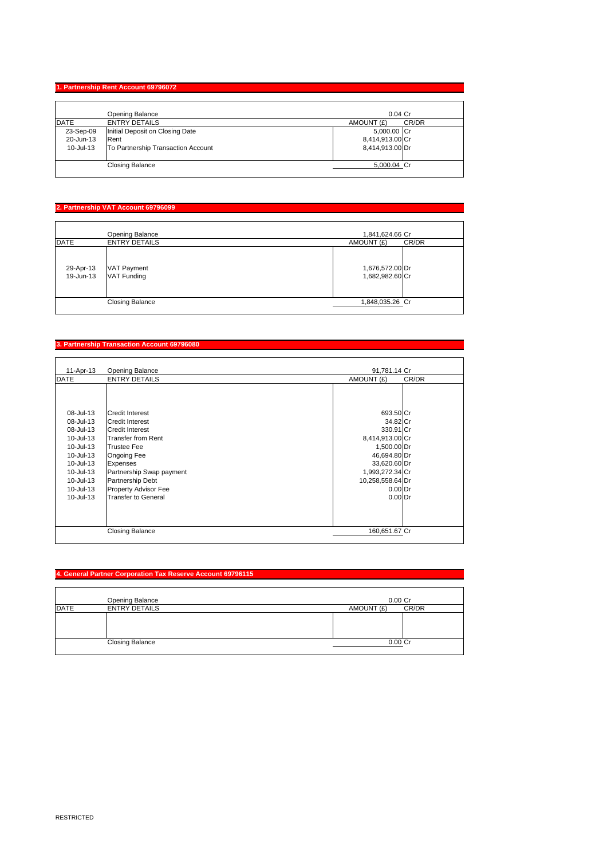## **1. Partnership Rent Account 69796072**

|             | Opening Balance                    | $0.04$ Cr           |
|-------------|------------------------------------|---------------------|
| <b>DATE</b> | <b>ENTRY DETAILS</b>               | CR/DR<br>AMOUNT (£) |
| 23-Sep-09   | Initial Deposit on Closing Date    | 5,000.00 Cr         |
| 20-Jun-13   | Rent                               | 8,414,913.00 Cr     |
| 10-Jul-13   | To Partnership Transaction Account | 8,414,913.00 Dr     |
|             | <b>Closing Balance</b>             | 5,000.04 Cr         |

# **2. Partnership VAT Account 69796099**

|                        | Opening Balance                          | 1,841,624.66 Cr                    |
|------------------------|------------------------------------------|------------------------------------|
| <b>DATE</b>            | <b>ENTRY DETAILS</b>                     | CR/DR<br>AMOUNT (£)                |
| 29-Apr-13<br>19-Jun-13 | <b>VAT Payment</b><br><b>VAT Funding</b> | 1,676,572.00 Dr<br>1,682,982.60 Cr |
|                        | <b>Closing Balance</b>                   | 1,848,035.26 Cr                    |

## **3. Partnership Transaction Account 69796080**

| 11-Apr-13   | <b>Opening Balance</b>   | 91,781.14 Cr        |
|-------------|--------------------------|---------------------|
| <b>DATE</b> | <b>ENTRY DETAILS</b>     | AMOUNT (£)<br>CR/DR |
|             |                          |                     |
| 08-Jul-13   | <b>Credit Interest</b>   | 693.50 Cr           |
| 08-Jul-13   | <b>Credit Interest</b>   | 34.82 Cr            |
| 08-Jul-13   | <b>Credit Interest</b>   | 330.91 Cr           |
| 10-Jul-13   | Transfer from Rent       | 8,414,913.00 Cr     |
| 10-Jul-13   | <b>Trustee Fee</b>       | 1,500.00 Dr         |
| 10-Jul-13   | Ongoing Fee              | 46,694.80 Dr        |
| 10-Jul-13   | Expenses                 | 33,620.60 Dr        |
| 10-Jul-13   | Partnership Swap payment | 1,993,272.34 Cr     |
| 10-Jul-13   | <b>Partnership Debt</b>  | 10,258,558.64 Dr    |
| 10-Jul-13   | Property Advisor Fee     | $0.00$ Dr           |
| 10-Jul-13   | Transfer to General      | $0.00$ Dr           |
|             | <b>Closing Balance</b>   | 160,651.67 Cr       |

## **4. General Partner Corporation Tax Reserve Account 69796115**

|             | Opening Balance        | $0.00$ Cr           |
|-------------|------------------------|---------------------|
| <b>DATE</b> | <b>ENTRY DETAILS</b>   | CR/DR<br>AMOUNT (£) |
|             |                        |                     |
|             |                        |                     |
|             |                        |                     |
|             | <b>Closing Balance</b> | $0.00C$ r           |
|             |                        |                     |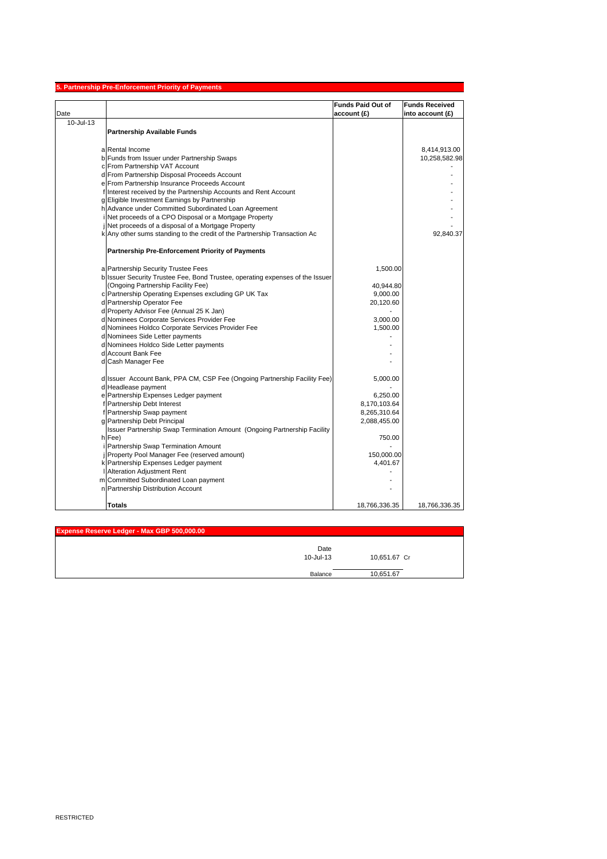|           | 5. Partnership Pre-Enforcement Priority of Payments                                                                            |                          |                       |
|-----------|--------------------------------------------------------------------------------------------------------------------------------|--------------------------|-----------------------|
|           |                                                                                                                                | <b>Funds Paid Out of</b> | <b>Funds Received</b> |
| Date      |                                                                                                                                | account (£)              | into account $(E)$    |
| 10-Jul-13 |                                                                                                                                |                          |                       |
|           | <b>Partnership Available Funds</b>                                                                                             |                          |                       |
|           |                                                                                                                                |                          |                       |
|           | a Rental Income                                                                                                                |                          | 8,414,913.00          |
|           | b Funds from Issuer under Partnership Swaps                                                                                    |                          | 10,258,582.98         |
|           | c From Partnership VAT Account                                                                                                 |                          |                       |
|           | d From Partnership Disposal Proceeds Account                                                                                   |                          |                       |
|           | e From Partnership Insurance Proceeds Account                                                                                  |                          |                       |
|           | f Interest received by the Partnership Accounts and Rent Account                                                               |                          |                       |
|           | g Eligible Investment Earnings by Partnership                                                                                  |                          |                       |
|           | h Advance under Committed Subordinated Loan Agreement                                                                          |                          |                       |
|           | Net proceeds of a CPO Disposal or a Mortgage Property                                                                          |                          |                       |
|           | Net proceeds of a disposal of a Mortgage Property<br>k Any other sums standing to the credit of the Partnership Transaction Ac |                          | 92,840.37             |
|           |                                                                                                                                |                          |                       |
|           | Partnership Pre-Enforcement Priority of Payments                                                                               |                          |                       |
|           |                                                                                                                                |                          |                       |
|           | a Partnership Security Trustee Fees                                                                                            | 1,500.00                 |                       |
|           | b Issuer Security Trustee Fee, Bond Trustee, operating expenses of the Issuer                                                  |                          |                       |
|           | (Ongoing Partnership Facility Fee)                                                                                             | 40,944.80                |                       |
|           | c Partnership Operating Expenses excluding GP UK Tax                                                                           | 9,000.00                 |                       |
|           | d Partnership Operator Fee<br>d Property Advisor Fee (Annual 25 K Jan)                                                         | 20,120.60                |                       |
|           | d Nominees Corporate Services Provider Fee                                                                                     | 3,000.00                 |                       |
|           | d Nominees Holdco Corporate Services Provider Fee                                                                              | 1,500.00                 |                       |
|           | d Nominees Side Letter payments                                                                                                |                          |                       |
|           | d Nominees Holdco Side Letter payments                                                                                         |                          |                       |
|           | d Account Bank Fee                                                                                                             |                          |                       |
|           | d Cash Manager Fee                                                                                                             |                          |                       |
|           |                                                                                                                                |                          |                       |
|           | d Issuer Account Bank, PPA CM, CSP Fee (Ongoing Partnership Facility Fee)                                                      | 5,000.00                 |                       |
|           | d Headlease payment                                                                                                            |                          |                       |
|           | e Partnership Expenses Ledger payment                                                                                          | 6,250.00                 |                       |
|           | f Partnership Debt Interest                                                                                                    | 8,170,103.64             |                       |
|           | f Partnership Swap payment                                                                                                     | 8,265,310.64             |                       |
|           | g Partnership Debt Principal                                                                                                   | 2,088,455.00             |                       |
|           | Issuer Partnership Swap Termination Amount (Ongoing Partnership Facility                                                       |                          |                       |
|           | h Fee)                                                                                                                         | 750.00                   |                       |
|           | Partnership Swap Termination Amount                                                                                            |                          |                       |
|           | Property Pool Manager Fee (reserved amount)                                                                                    | 150,000.00               |                       |
|           | k Partnership Expenses Ledger payment                                                                                          | 4,401.67                 |                       |
|           | Alteration Adjustment Rent                                                                                                     |                          |                       |
|           | m Committed Subordinated Loan payment                                                                                          |                          |                       |
|           | n Partnership Distribution Account                                                                                             |                          |                       |
|           | Totals                                                                                                                         | 18,766,336.35            | 18,766,336.35         |

| Expense Reserve Ledger - Max GBP 500,000.00 |                   |              |
|---------------------------------------------|-------------------|--------------|
|                                             | Date<br>10-Jul-13 | 10,651.67 Cr |
|                                             | Balance           | 10.651.67    |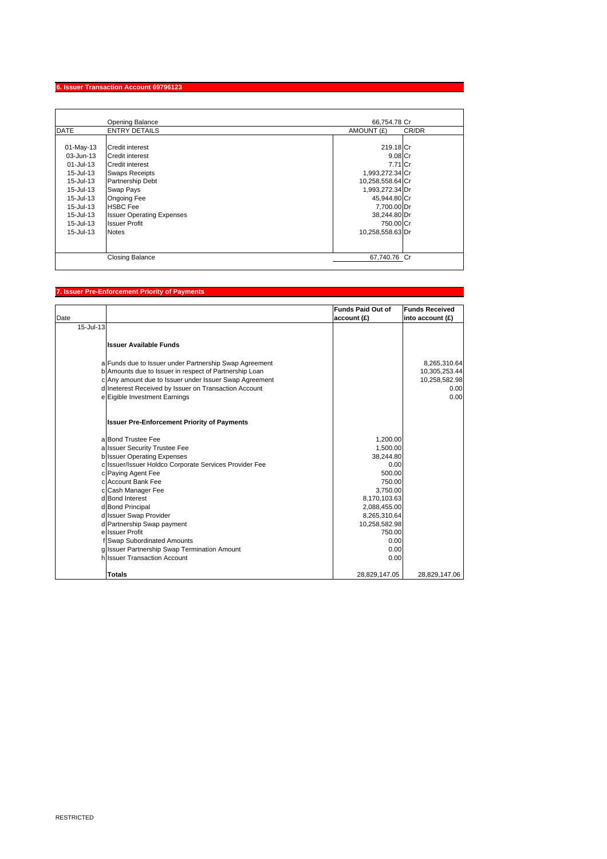### **6. Issuer Transaction Account 69796123**

| AMOUNT (£) |                                                                                                                                                                                           |
|------------|-------------------------------------------------------------------------------------------------------------------------------------------------------------------------------------------|
|            | CR/DR                                                                                                                                                                                     |
|            |                                                                                                                                                                                           |
|            |                                                                                                                                                                                           |
|            | 219.18 Cr<br>9.08 Cr<br>7.71 Cr<br>1,993,272.34 Cr<br>10,258,558.64 Cr<br>1,993,272.34 Dr<br>45,944.80 Cr<br>7,700.00 Dr<br>38,244.80 Dr<br>750.00 Cr<br>10,258,558.63 Dr<br>67,740.76 Cr |

## **7. Issuer Pre-Enforcement Priority of Payments**

| Date      |                                                        | <b>Funds Paid Out of</b><br>account(f) | <b>Funds Received</b><br>into account (£) |
|-----------|--------------------------------------------------------|----------------------------------------|-------------------------------------------|
| 15-Jul-13 |                                                        |                                        |                                           |
|           | <b>Issuer Available Funds</b>                          |                                        |                                           |
|           | a Funds due to Issuer under Partnership Swap Agreement |                                        | 8,265,310.64                              |
|           | b Amounts due to Issuer in respect of Partnership Loan |                                        | 10,305,253.44                             |
|           | c Any amount due to Issuer under Issuer Swap Agreement |                                        | 10,258,582.98                             |
|           | d Ineterest Received by Issuer on Transaction Account  |                                        | 0.00                                      |
|           | e Eigible Investment Earnings                          |                                        | 0.00                                      |
|           | <b>Issuer Pre-Enforcement Priority of Payments</b>     |                                        |                                           |
|           | a Bond Trustee Fee                                     | 1,200.00                               |                                           |
|           | a Issuer Security Trustee Fee                          | 1,500.00                               |                                           |
|           | <b>b</b> Issuer Operating Expenses                     | 38,244.80                              |                                           |
|           | c Issuer/Issuer Holdco Corporate Services Provider Fee | 0.00                                   |                                           |
|           | c Paying Agent Fee                                     | 500.00                                 |                                           |
|           | c Account Bank Fee                                     | 750.00                                 |                                           |
|           | c Cash Manager Fee                                     | 3,750.00                               |                                           |
|           | d Bond Interest                                        | 8,170,103.63                           |                                           |
|           | d Bond Principal<br>d Issuer Swap Provider             | 2,088,455.00                           |                                           |
|           | d Partnership Swap payment                             | 8,265,310.64<br>10,258,582.98          |                                           |
|           | e Issuer Profit                                        | 750.00                                 |                                           |
|           | f Swap Subordinated Amounts                            | 0.00                                   |                                           |
|           | g Issuer Partnership Swap Termination Amount           | 0.00                                   |                                           |
|           | h Issuer Transaction Account                           | 0.00                                   |                                           |
|           | <b>Totals</b>                                          | 28,829,147.05                          | 28,829,147.06                             |